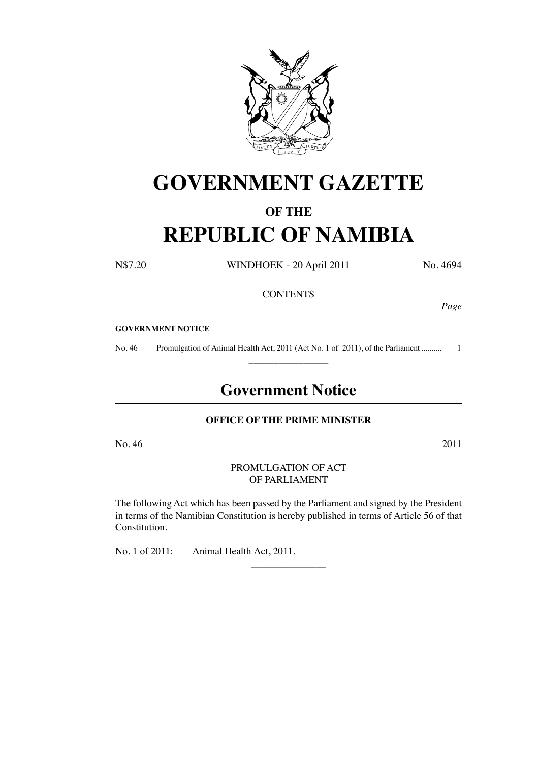

# **GOVERNMENT GAZETTE**

## **OF THE**

# **REPUBLIC OF NAMIBIA**

N\$7.20 WINDHOEK - 20 April 2011 No. 4694

## **CONTENTS**

*Page*

#### **GOVERNMENT NOTICE**

No. 46 Promulgation of Animal Health Act, 2011 (Act No. 1 of 2011), of the Parliament........... 1  $\overline{\phantom{a}}$  , where  $\overline{\phantom{a}}$ 

# **Government Notice**

## **OFFICE OF THE PRIME MINISTER**

 $\text{No. } 46$   $2011$ 

#### PROMULGATION OF ACT OF PARLIAMENT

The following Act which has been passed by the Parliament and signed by the President in terms of the Namibian Constitution is hereby published in terms of Article 56 of that Constitution.

 $\overline{\phantom{a}}$  , where  $\overline{\phantom{a}}$ 

No. 1 of 2011: Animal Health Act, 2011.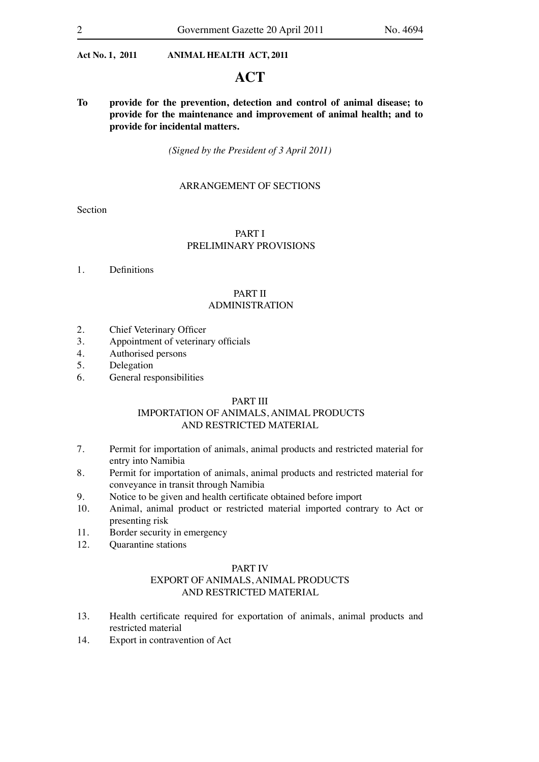## **ACT**

**To provide for the prevention, detection and control of animal disease; to provide for the maintenance and improvement of animal health; and to provide for incidental matters.**

*(Signed by the President of 3 April 2011)*

## ARRANGEMENT OF SECTIONS

Section

## PART I PRELIMINARY PROVISIONS

1. Definitions

## PART II ADMINISTRATION

- 2. Chief Veterinary Officer
- 3. Appointment of veterinary officials
- 4. Authorised persons
- 5. Delegation
- 6. General responsibilities

#### PART III

## IMPORTATION OF ANIMALS, ANIMAL PRODUCTS AND RESTRICTED MATERIAL

- 7. Permit for importation of animals, animal products and restricted material for entry into Namibia
- 8. Permit for importation of animals, animal products and restricted material for conveyance in transit through Namibia
- 9. Notice to be given and health certificate obtained before import
- 10. Animal, animal product or restricted material imported contrary to Act or presenting risk
- 11. Border security in emergency
- 12. Quarantine stations

#### PART IV

## EXPORT OF ANIMALS, ANIMAL PRODUCTS AND RESTRICTED MATERIAL

- 13. Health certificate required for exportation of animals, animal products and restricted material
- 14. Export in contravention of Act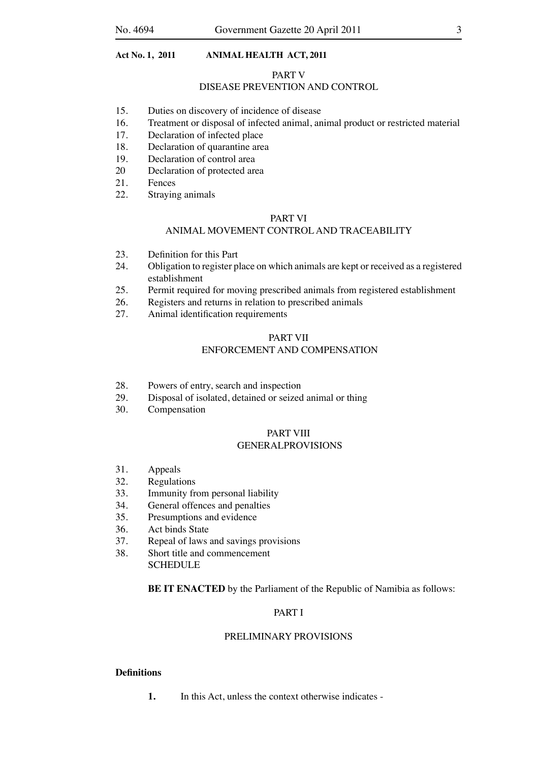#### PART V

## DISEASE PREVENTION AND CONTROL

- 15. Duties on discovery of incidence of disease
- 16. Treatment or disposal of infected animal, animal product or restricted material
- 17. Declaration of infected place
- 18. Declaration of quarantine area<br>19. Declaration of control area
- Declaration of control area
- 20 Declaration of protected area
- 21. Fences
- 22. Straying animals

#### PART VI

#### ANIMAL MOVEMENT CONTROL AND TRACEABILITY

- 23. Definition for this Part
- 24. Obligation to register place on which animals are kept or received as a registered establishment
- 25. Permit required for moving prescribed animals from registered establishment
- 26. Registers and returns in relation to prescribed animals
- 27. Animal identification requirements

#### PART VII ENFORCEMENT AND COMPENSATION

- 
- 28. Powers of entry, search and inspection
- 29. Disposal of isolated, detained or seized animal or thing
- 30. Compensation

#### PART VIII GENERALPROVISIONS

- 31. Appeals
- 32. Regulations
- 33. Immunity from personal liability
- 34. General offences and penalties
- 35. Presumptions and evidence
- 36. Act binds State
- 37. Repeal of laws and savings provisions
- 38. Short title and commencement **SCHEDULE**

**BE IT ENACTED** by the Parliament of the Republic of Namibia as follows:

## PART I

#### PRELIMINARY PROVISIONS

#### **Definitions**

**1.** In this Act, unless the context otherwise indicates -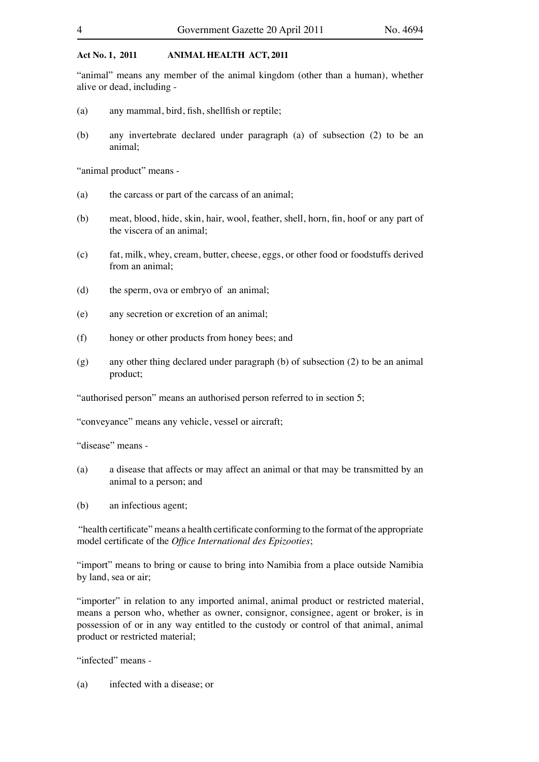"animal" means any member of the animal kingdom (other than a human), whether alive or dead, including -

- (a) any mammal, bird, fish, shellfish or reptile;
- (b) any invertebrate declared under paragraph (a) of subsection (2) to be an animal;

"animal product" means -

- (a) the carcass or part of the carcass of an animal;
- (b) meat, blood, hide, skin, hair, wool, feather, shell, horn, fin, hoof or any part of the viscera of an animal;
- (c) fat, milk, whey, cream, butter, cheese, eggs, or other food or foodstuffs derived from an animal;
- (d) the sperm, ova or embryo of an animal;
- (e) any secretion or excretion of an animal;
- (f) honey or other products from honey bees; and
- $(g)$  any other thing declared under paragraph (b) of subsection (2) to be an animal product;

"authorised person" means an authorised person referred to in section 5;

"conveyance" means any vehicle, vessel or aircraft;

"disease" means -

- (a) a disease that affects or may affect an animal or that may be transmitted by an animal to a person; and
- (b) an infectious agent;

"health certificate" means a health certificate conforming to the format of the appropriate model certificate of the *Office International des Epizooties*;

"import" means to bring or cause to bring into Namibia from a place outside Namibia by land, sea or air;

"importer" in relation to any imported animal, animal product or restricted material, means a person who, whether as owner, consignor, consignee, agent or broker, is in possession of or in any way entitled to the custody or control of that animal, animal product or restricted material;

"infected" means -

(a) infected with a disease; or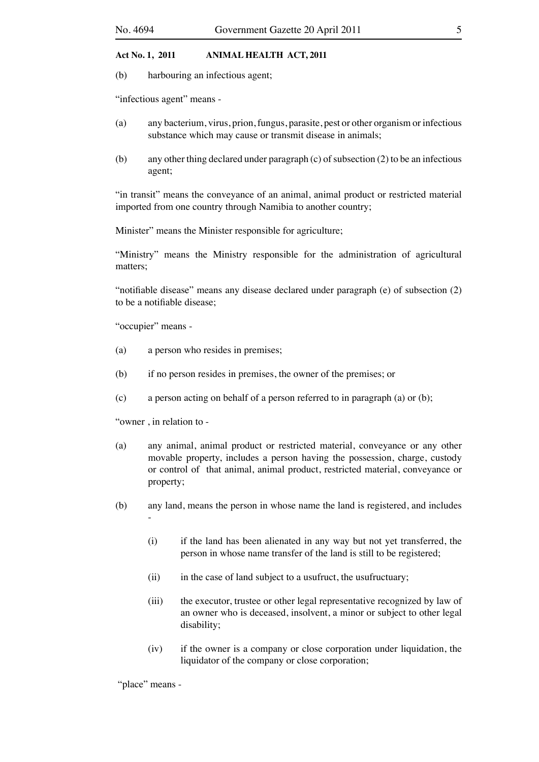(b) harbouring an infectious agent;

"infectious agent" means -

- (a) any bacterium, virus, prion, fungus, parasite, pest or other organism or infectious substance which may cause or transmit disease in animals;
- (b) any other thing declared under paragraph (c) of subsection (2) to be an infectious agent;

"in transit" means the conveyance of an animal, animal product or restricted material imported from one country through Namibia to another country;

Minister" means the Minister responsible for agriculture;

"Ministry" means the Ministry responsible for the administration of agricultural matters;

"notifiable disease" means any disease declared under paragraph (e) of subsection (2) to be a notifiable disease;

"occupier" means -

- (a) a person who resides in premises;
- (b) if no person resides in premises, the owner of the premises; or
- (c) a person acting on behalf of a person referred to in paragraph (a) or (b);

"owner , in relation to -

- (a) any animal, animal product or restricted material, conveyance or any other movable property, includes a person having the possession, charge, custody or control of that animal, animal product, restricted material, conveyance or property;
- (b) any land, means the person in whose name the land is registered, and includes -
	- (i) if the land has been alienated in any way but not yet transferred, the person in whose name transfer of the land is still to be registered;
	- (ii) in the case of land subject to a usufruct, the usufructuary;
	- (iii) the executor, trustee or other legal representative recognized by law of an owner who is deceased, insolvent, a minor or subject to other legal disability;
	- (iv) if the owner is a company or close corporation under liquidation, the liquidator of the company or close corporation;

"place" means -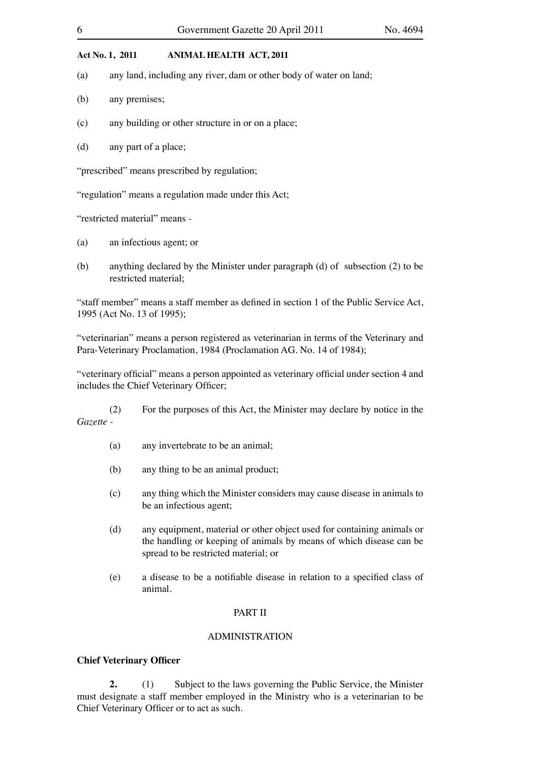- (a) any land, including any river, dam or other body of water on land;
- (b) any premises;
- (c) any building or other structure in or on a place;
- (d) any part of a place;

"prescribed" means prescribed by regulation;

"regulation" means a regulation made under this Act;

"restricted material" means -

- (a) an infectious agent; or
- (b) anything declared by the Minister under paragraph (d) of subsection  $(2)$  to be restricted material;

"staff member" means a staff member as defined in section 1 of the Public Service Act, 1995 (Act No. 13 of 1995);

"veterinarian" means a person registered as veterinarian in terms of the Veterinary and Para-Veterinary Proclamation, 1984 (Proclamation AG. No. 14 of 1984);

"veterinary official" means a person appointed as veterinary official under section 4 and includes the Chief Veterinary Officer;

 (2) For the purposes of this Act, the Minister may declare by notice in the *Gazette -*

- (a) any invertebrate to be an animal;
- (b) any thing to be an animal product;
- (c) any thing which the Minister considers may cause disease in animals to be an infectious agent;
- (d) any equipment, material or other object used for containing animals or the handling or keeping of animals by means of which disease can be spread to be restricted material; or
- (e) a disease to be a notifiable disease in relation to a specified class of animal.

## PART II

#### ADMINISTRATION

#### **Chief Veterinary Officer**

**2.** (1) Subject to the laws governing the Public Service, the Minister must designate a staff member employed in the Ministry who is a veterinarian to be Chief Veterinary Officer or to act as such.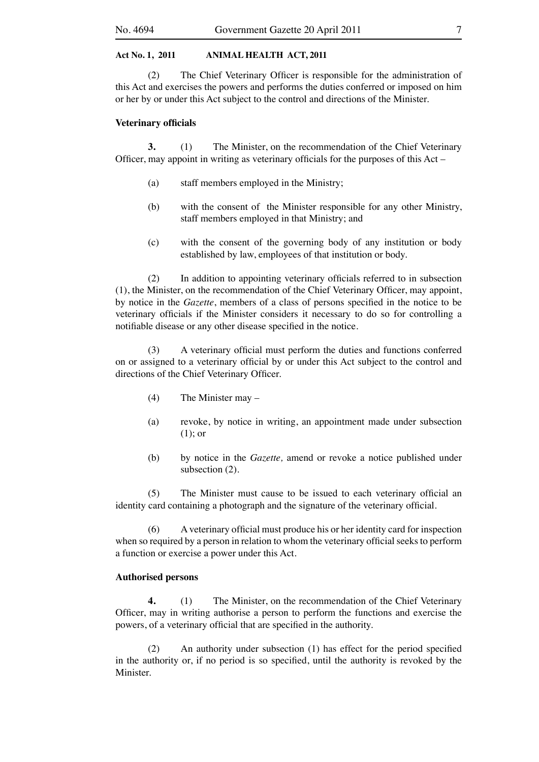(2) The Chief Veterinary Officer is responsible for the administration of this Act and exercises the powers and performs the duties conferred or imposed on him or her by or under this Act subject to the control and directions of the Minister.

#### **Veterinary officials**

**3.** (1) The Minister, on the recommendation of the Chief Veterinary Officer, may appoint in writing as veterinary officials for the purposes of this Act –

- (a) staff members employed in the Ministry;
- (b) with the consent of the Minister responsible for any other Ministry, staff members employed in that Ministry; and
- (c) with the consent of the governing body of any institution or body established by law, employees of that institution or body.

 (2) In addition to appointing veterinary officials referred to in subsection (1), the Minister, on the recommendation of the Chief Veterinary Officer, may appoint, by notice in the *Gazette*, members of a class of persons specified in the notice to be veterinary officials if the Minister considers it necessary to do so for controlling a notifiable disease or any other disease specified in the notice.

 (3) A veterinary official must perform the duties and functions conferred on or assigned to a veterinary official by or under this Act subject to the control and directions of the Chief Veterinary Officer.

- $(4)$  The Minister may –
- (a) revoke, by notice in writing, an appointment made under subsection (1); or
- (b) by notice in the *Gazette,* amend or revoke a notice published under subsection (2).

(5) The Minister must cause to be issued to each veterinary official an identity card containing a photograph and the signature of the veterinary official.

 (6) A veterinary official must produce his or her identity card for inspection when so required by a person in relation to whom the veterinary official seeks to perform a function or exercise a power under this Act.

#### **Authorised persons**

**4.** (1) The Minister, on the recommendation of the Chief Veterinary Officer, may in writing authorise a person to perform the functions and exercise the powers, of a veterinary official that are specified in the authority.

 (2) An authority under subsection (1) has effect for the period specified in the authority or, if no period is so specified, until the authority is revoked by the Minister.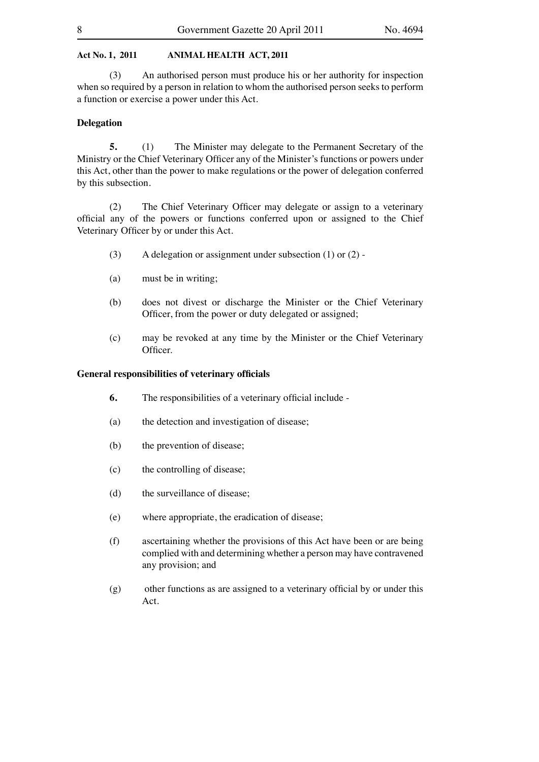(3) An authorised person must produce his or her authority for inspection when so required by a person in relation to whom the authorised person seeks to perform a function or exercise a power under this Act.

#### **Delegation**

**5.** (1) The Minister may delegate to the Permanent Secretary of the Ministry or the Chief Veterinary Officer any of the Minister's functions or powers under this Act, other than the power to make regulations or the power of delegation conferred by this subsection. 

 (2) The Chief Veterinary Officer may delegate or assign to a veterinary official any of the powers or functions conferred upon or assigned to the Chief Veterinary Officer by or under this Act.

- (3) A delegation or assignment under subsection  $(1)$  or  $(2)$  -
- (a) must be in writing;
- (b) does not divest or discharge the Minister or the Chief Veterinary Officer, from the power or duty delegated or assigned;
- (c) may be revoked at any time by the Minister or the Chief Veterinary Officer.

#### **General responsibilities of veterinary officials**

- **6.** The responsibilities of a veterinary official include -
- (a) the detection and investigation of disease;
- (b) the prevention of disease;
- (c) the controlling of disease;
- (d) the surveillance of disease;
- (e) where appropriate, the eradication of disease;
- (f) ascertaining whether the provisions of this Act have been or are being complied with and determining whether a person may have contravened any provision; and
- (g) other functions as are assigned to a veterinary official by or under this Act.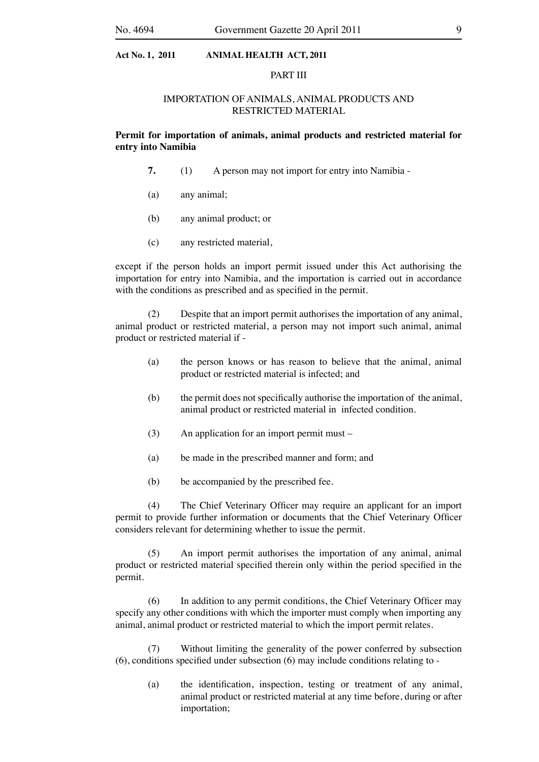#### PART III

#### IMPORTATION OF ANIMALS, ANIMAL PRODUCTS AND RESTRICTED MATERIAL

**Permit for importation of animals, animal products and restricted material for entry into Namibia**

- **7.** (1) A person may not import for entry into Namibia -
- (a) any animal;
- (b) any animal product; or
- (c) any restricted material,

except if the person holds an import permit issued under this Act authorising the importation for entry into Namibia, and the importation is carried out in accordance with the conditions as prescribed and as specified in the permit.

 (2) Despite that an import permit authorises the importation of any animal, animal product or restricted material, a person may not import such animal, animal product or restricted material if -

- (a) the person knows or has reason to believe that the animal, animal product or restricted material is infected; and
- (b) the permit does not specifically authorise the importation of the animal, animal product or restricted material in infected condition.
- $(3)$  An application for an import permit must –
- (a) be made in the prescribed manner and form; and
- (b) be accompanied by the prescribed fee.

 (4) The Chief Veterinary Officer may require an applicant for an import permit to provide further information or documents that the Chief Veterinary Officer considers relevant for determining whether to issue the permit.

 (5) An import permit authorises the importation of any animal, animal product or restricted material specified therein only within the period specified in the permit.

 (6) In addition to any permit conditions, the Chief Veterinary Officer may specify any other conditions with which the importer must comply when importing any animal, animal product or restricted material to which the import permit relates.

 (7) Without limiting the generality of the power conferred by subsection (6), conditions specified under subsection (6) may include conditions relating to -

 (a) the identification, inspection, testing or treatment of any animal, animal product or restricted material at any time before, during or after importation;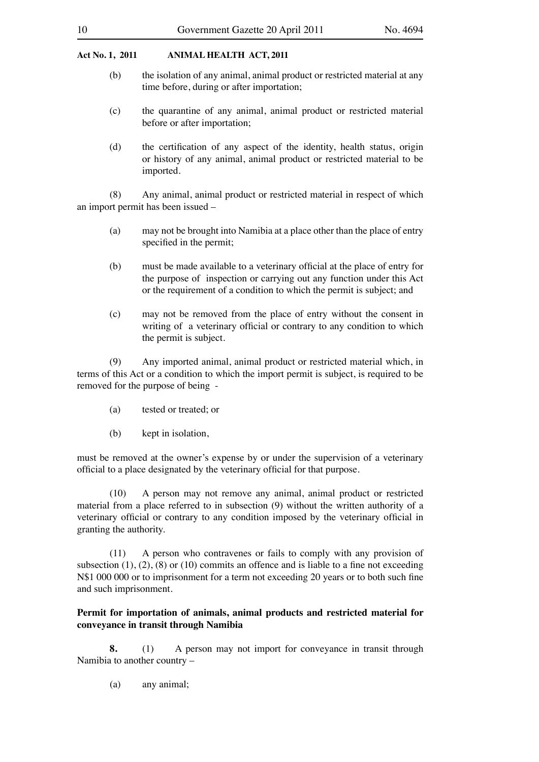- (b) the isolation of any animal, animal product or restricted material at any time before, during or after importation;
- (c) the quarantine of any animal, animal product or restricted material before or after importation;
- (d) the certification of any aspect of the identity, health status, origin or history of any animal, animal product or restricted material to be imported.

 (8) Any animal, animal product or restricted material in respect of which an import permit has been issued –

- (a) may not be brought into Namibia at a place other than the place of entry specified in the permit;
- (b) must be made available to a veterinary official at the place of entry for the purpose of inspection or carrying out any function under this Act or the requirement of a condition to which the permit is subject; and
- (c) may not be removed from the place of entry without the consent in writing of a veterinary official or contrary to any condition to which the permit is subject.

 (9) Any imported animal, animal product or restricted material which, in terms of this Act or a condition to which the import permit is subject, is required to be removed for the purpose of being -

- (a) tested or treated; or
- (b) kept in isolation,

must be removed at the owner's expense by or under the supervision of a veterinary official to a place designated by the veterinary official for that purpose.

 (10) A person may not remove any animal, animal product or restricted material from a place referred to in subsection (9) without the written authority of a veterinary official or contrary to any condition imposed by the veterinary official in granting the authority.

 $(11)$  A person who contravenes or fails to comply with any provision of subsection  $(1)$ ,  $(2)$ ,  $(8)$  or  $(10)$  commits an offence and is liable to a fine not exceeding N\$1 000 000 or to imprisonment for a term not exceeding 20 years or to both such fine and such imprisonment.

## **Permit for importation of animals, animal products and restricted material for conveyance in transit through Namibia**

**8.** (1) A person may not import for conveyance in transit through Namibia to another country –

 (a) any animal;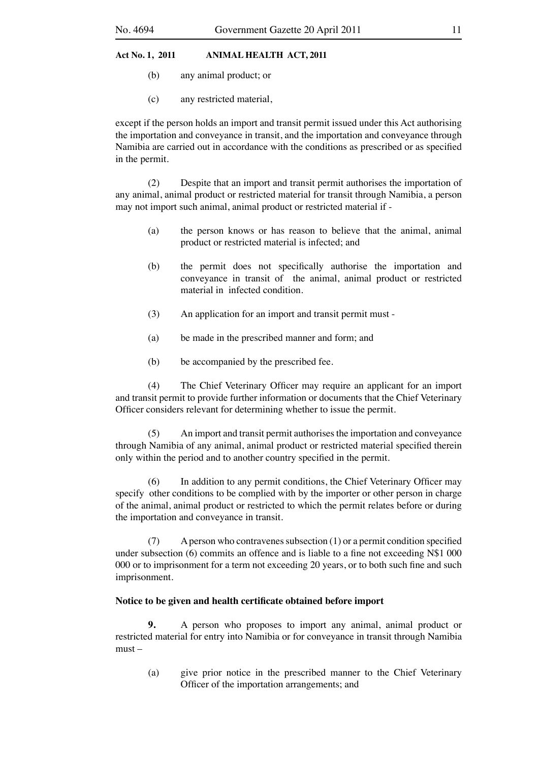- (b) any animal product; or
- (c) any restricted material,

except if the person holds an import and transit permit issued under this Act authorising the importation and conveyance in transit, and the importation and conveyance through Namibia are carried out in accordance with the conditions as prescribed or as specified in the permit.

 (2) Despite that an import and transit permit authorises the importation of any animal, animal product or restricted material for transit through Namibia, a person may not import such animal, animal product or restricted material if -

- (a) the person knows or has reason to believe that the animal, animal product or restricted material is infected; and
- (b) the permit does not specifically authorise the importation and conveyance in transit of the animal, animal product or restricted material in infected condition.
- (3) An application for an import and transit permit must -
- (a) be made in the prescribed manner and form; and
- (b) be accompanied by the prescribed fee.

 (4) The Chief Veterinary Officer may require an applicant for an import and transit permit to provide further information or documents that the Chief Veterinary Officer considers relevant for determining whether to issue the permit.

(5) An import and transit permit authorises the importation and conveyance through Namibia of any animal, animal product or restricted material specified therein only within the period and to another country specified in the permit.

 $(6)$  In addition to any permit conditions, the Chief Veterinary Officer may specify other conditions to be complied with by the importer or other person in charge of the animal, animal product or restricted to which the permit relates before or during the importation and conveyance in transit.

 $(7)$  A person who contravenes subsection  $(1)$  or a permit condition specified under subsection (6) commits an offence and is liable to a fine not exceeding N\$1 000 000 or to imprisonment for a term not exceeding 20 years, or to both such fine and such imprisonment.

## **Notice to be given and health certificate obtained before import**

**9.** A person who proposes to import any animal, animal product or restricted material for entry into Namibia or for conveyance in transit through Namibia must –

 (a) give prior notice in the prescribed manner to the Chief Veterinary Officer of the importation arrangements; and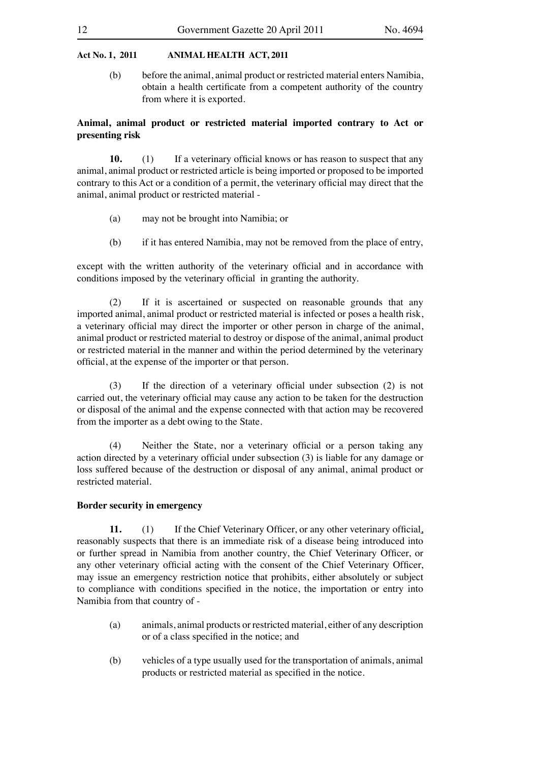(b) before the animal, animal product or restricted material enters Namibia, obtain a health certificate from a competent authority of the country from where it is exported.

## **Animal, animal product or restricted material imported contrary to Act or presenting risk**

**10.** (1) If a veterinary official knows or has reason to suspect that any animal, animal product or restricted article is being imported or proposed to be imported contrary to this Act or a condition of a permit, the veterinary official may direct that the animal, animal product or restricted material -

- (a) may not be brought into Namibia; or
- (b) if it has entered Namibia, may not be removed from the place of entry,

except with the written authority of the veterinary official and in accordance with conditions imposed by the veterinary official in granting the authority.

 (2) If it is ascertained or suspected on reasonable grounds that any imported animal, animal product or restricted material is infected or poses a health risk, a veterinary official may direct the importer or other person in charge of the animal, animal product or restricted material to destroy or dispose of the animal, animal product or restricted material in the manner and within the period determined by the veterinary official, at the expense of the importer or that person.

 (3) If the direction of a veterinary official under subsection (2) is not carried out, the veterinary official may cause any action to be taken for the destruction or disposal of the animal and the expense connected with that action may be recovered from the importer as a debt owing to the State.

 (4) Neither the State, nor a veterinary official or a person taking any action directed by a veterinary official under subsection (3) is liable for any damage or loss suffered because of the destruction or disposal of any animal, animal product or restricted material.

#### **Border security in emergency**

**11.** (1) If the Chief Veterinary Officer, or any other veterinary official, reasonably suspects that there is an immediate risk of a disease being introduced into or further spread in Namibia from another country, the Chief Veterinary Officer, or any other veterinary official acting with the consent of the Chief Veterinary Officer, may issue an emergency restriction notice that prohibits, either absolutely or subject to compliance with conditions specified in the notice, the importation or entry into Namibia from that country of -

- (a) animals, animal products or restricted material, either of any description or of a class specified in the notice; and
- (b) vehicles of a type usually used for the transportation of animals, animal products or restricted material as specified in the notice.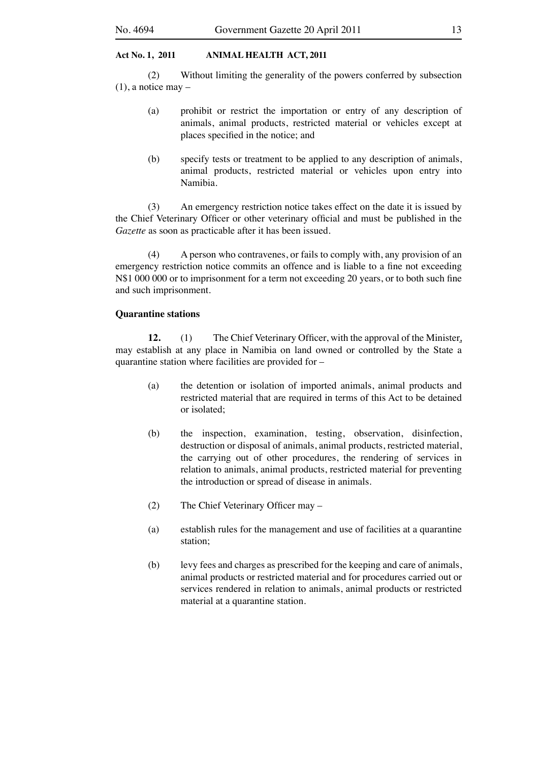(2) Without limiting the generality of the powers conferred by subsection  $(1)$ , a notice may –

- (a) prohibit or restrict the importation or entry of any description of animals, animal products, restricted material or vehicles except at places specified in the notice; and
- (b) specify tests or treatment to be applied to any description of animals, animal products, restricted material or vehicles upon entry into Namibia.

(3) An emergency restriction notice takes effect on the date it is issued by the Chief Veterinary Officer or other veterinary official and must be published in the *Gazette* as soon as practicable after it has been issued.

 (4) A person who contravenes, or fails to comply with, any provision of an emergency restriction notice commits an offence and is liable to a fine not exceeding N\$1 000 000 or to imprisonment for a term not exceeding 20 years, or to both such fine and such imprisonment.

#### **Quarantine stations**

**12.** (1) The Chief Veterinary Officer, with the approval of the Minister, may establish at any place in Namibia on land owned or controlled by the State a quarantine station where facilities are provided for –

- (a) the detention or isolation of imported animals, animal products and restricted material that are required in terms of this Act to be detained or isolated;
- (b) the inspection, examination, testing, observation, disinfection, destruction or disposal of animals, animal products, restricted material, the carrying out of other procedures, the rendering of services in relation to animals, animal products, restricted material for preventing the introduction or spread of disease in animals.
- (2) The Chief Veterinary Officer may –
- (a) establish rules for the management and use of facilities at a quarantine station;
- (b) levy fees and charges as prescribed for the keeping and care of animals, animal products or restricted material and for procedures carried out or services rendered in relation to animals, animal products or restricted material at a quarantine station.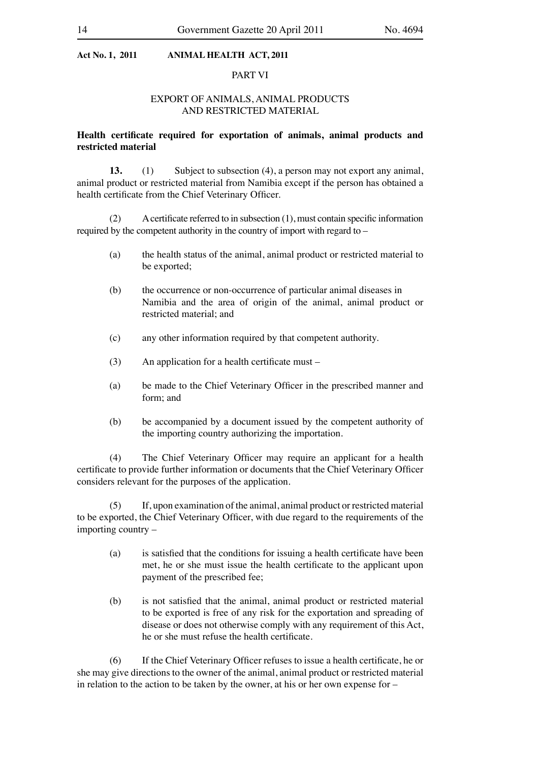## PART VI

## EXPORT OF ANIMALS, ANIMAL PRODUCTS AND RESTRICTED MATERIAL

## **Health certificate required for exportation of animals, animal products and restricted material**

**13.** (1) Subject to subsection (4), a person may not export any animal, animal product or restricted material from Namibia except if the person has obtained a health certificate from the Chief Veterinary Officer.

 $(2)$  A certificate referred to in subsection  $(1)$ , must contain specific information required by the competent authority in the country of import with regard to –

- (a) the health status of the animal, animal product or restricted material to be exported;
- (b) the occurrence or non-occurrence of particular animal diseases in Namibia and the area of origin of the animal, animal product or restricted material; and
- (c) any other information required by that competent authority.
- $(3)$  An application for a health certificate must –
- (a) be made to the Chief Veterinary Officer in the prescribed manner and form; and
- (b) be accompanied by a document issued by the competent authority of the importing country authorizing the importation.

 (4) The Chief Veterinary Officer may require an applicant for a health certificate to provide further information or documents that the Chief Veterinary Officer considers relevant for the purposes of the application.

 (5) If, upon examination of the animal, animal product or restricted material to be exported, the Chief Veterinary Officer, with due regard to the requirements of the importing country –

- (a) is satisfied that the conditions for issuing a health certificate have been met, he or she must issue the health certificate to the applicant upon payment of the prescribed fee;
- (b) is not satisfied that the animal, animal product or restricted material to be exported is free of any risk for the exportation and spreading of disease or does not otherwise comply with any requirement of this Act, he or she must refuse the health certificate.

 (6) If the Chief Veterinary Officer refuses to issue a health certificate, he or she may give directions to the owner of the animal, animal product or restricted material in relation to the action to be taken by the owner, at his or her own expense for –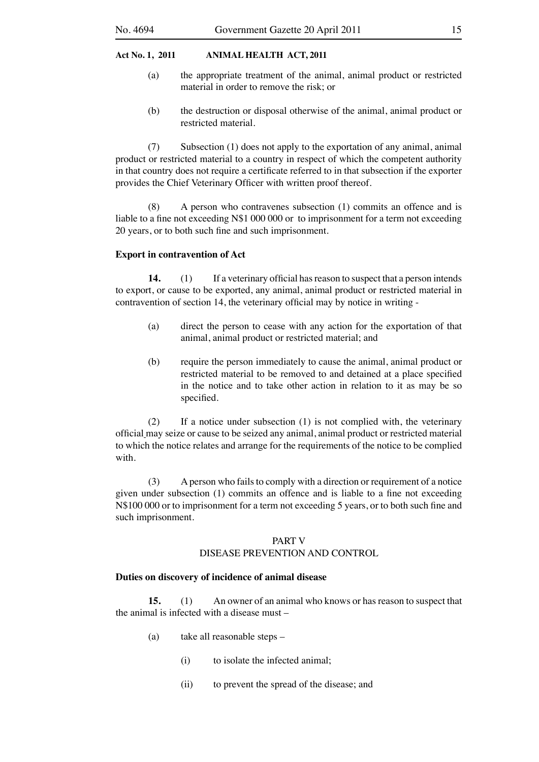- (a) the appropriate treatment of the animal, animal product or restricted material in order to remove the risk; or
- (b) the destruction or disposal otherwise of the animal, animal product or restricted material.

 (7) Subsection (1) does not apply to the exportation of any animal, animal product or restricted material to a country in respect of which the competent authority in that country does not require a certificate referred to in that subsection if the exporter provides the Chief Veterinary Officer with written proof thereof.

 $(8)$  A person who contravenes subsection  $(1)$  commits an offence and is liable to a fine not exceeding N\$1 000 000 or to imprisonment for a term not exceeding 20 years, or to both such fine and such imprisonment.

## **Export in contravention of Act**

**14.** (1) If a veterinary official has reason to suspect that a person intends to export, or cause to be exported, any animal, animal product or restricted material in contravention of section 14, the veterinary official may by notice in writing -

- (a) direct the person to cease with any action for the exportation of that animal, animal product or restricted material; and
- (b) require the person immediately to cause the animal, animal product or restricted material to be removed to and detained at a place specified in the notice and to take other action in relation to it as may be so specified.

 $(2)$  If a notice under subsection  $(1)$  is not complied with, the veterinary official may seize or cause to be seized any animal, animal product or restricted material to which the notice relates and arrange for the requirements of the notice to be complied with.

(3) A person who fails to comply with a direction or requirement of a notice given under subsection (1) commits an offence and is liable to a fine not exceeding N\$100 000 or to imprisonment for a term not exceeding 5 years, or to both such fine and such imprisonment.

### PART V DISEASE PREVENTION AND CONTROL

#### **Duties on discovery of incidence of animal disease**

**15.** (1) An owner of an animal who knows or has reason to suspect that the animal is infected with a disease must –

- (a) take all reasonable steps
	- (i) to isolate the infected animal:
	- (ii) to prevent the spread of the disease; and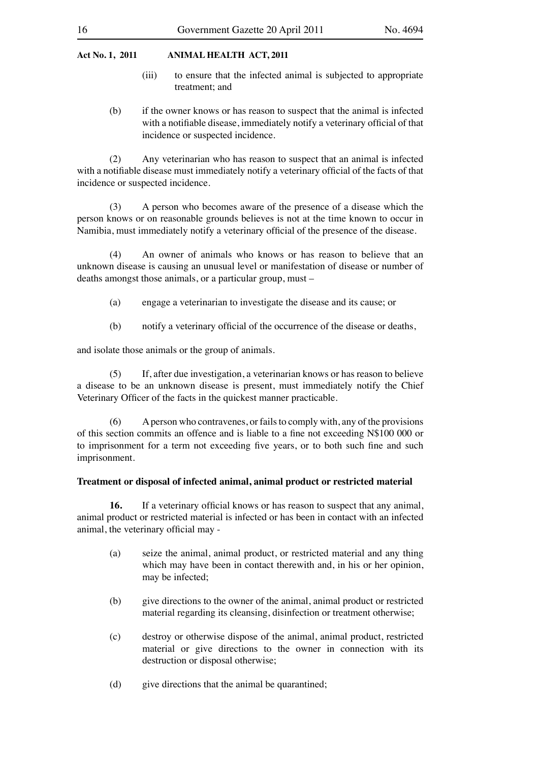- (iii) to ensure that the infected animal is subjected to appropriate treatment; and
- (b) if the owner knows or has reason to suspect that the animal is infected with a notifiable disease, immediately notify a veterinary official of that incidence or suspected incidence.

 (2) Any veterinarian who has reason to suspect that an animal is infected with a notifiable disease must immediately notify a veterinary official of the facts of that incidence or suspected incidence.

 (3) A person who becomes aware of the presence of a disease which the person knows or on reasonable grounds believes is not at the time known to occur in Namibia, must immediately notify a veterinary official of the presence of the disease.

 (4) An owner of animals who knows or has reason to believe that an unknown disease is causing an unusual level or manifestation of disease or number of deaths amongst those animals, or a particular group, must –

- (a) engage a veterinarian to investigate the disease and its cause; or
- (b) notify a veterinary official of the occurrence of the disease or deaths,

and isolate those animals or the group of animals.

 (5) If, after due investigation, a veterinarian knows or has reason to believe a disease to be an unknown disease is present, must immediately notify the Chief Veterinary Officer of the facts in the quickest manner practicable.

 $(6)$  A person who contravenes, or fails to comply with, any of the provisions of this section commits an offence and is liable to a fine not exceeding N\$100 000 or to imprisonment for a term not exceeding five years, or to both such fine and such imprisonment.

#### **Treatment or disposal of infected animal, animal product or restricted material**

**16.** If a veterinary official knows or has reason to suspect that any animal, animal product or restricted material is infected or has been in contact with an infected animal, the veterinary official may -

- (a) seize the animal, animal product, or restricted material and any thing which may have been in contact therewith and, in his or her opinion, may be infected;
- (b) give directions to the owner of the animal, animal product or restricted material regarding its cleansing, disinfection or treatment otherwise;
- (c) destroy or otherwise dispose of the animal, animal product, restricted material or give directions to the owner in connection with its destruction or disposal otherwise;
- (d) give directions that the animal be quarantined;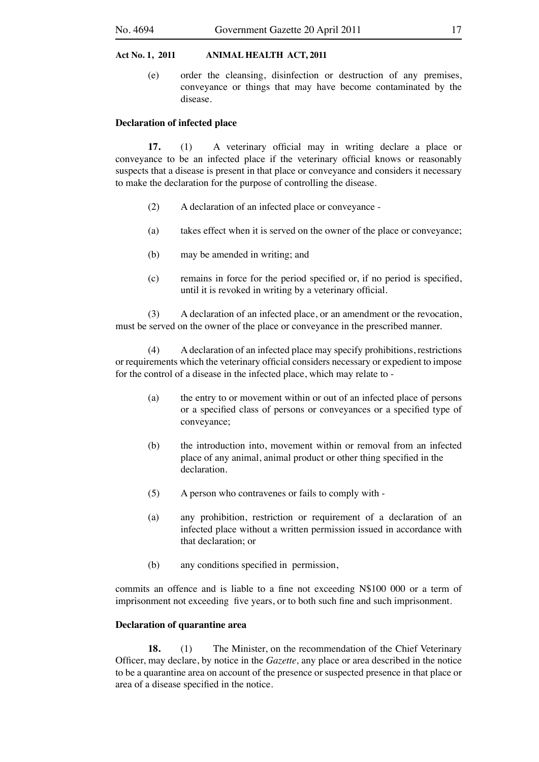(e) order the cleansing, disinfection or destruction of any premises, conveyance or things that may have become contaminated by the disease.

#### **Declaration of infected place**

**17.** (1) A veterinary official may in writing declare a place or conveyance to be an infected place if the veterinary official knows or reasonably suspects that a disease is present in that place or conveyance and considers it necessary to make the declaration for the purpose of controlling the disease.

- (2) A declaration of an infected place or conveyance -
- (a) takes effect when it is served on the owner of the place or conveyance;
- (b) may be amended in writing; and
- (c) remains in force for the period specified or, if no period is specified, until it is revoked in writing by a veterinary official.

(3) A declaration of an infected place, or an amendment or the revocation, must be served on the owner of the place or conveyance in the prescribed manner.

 (4) A declaration of an infected place may specify prohibitions, restrictions or requirements which the veterinary official considers necessary or expedient to impose for the control of a disease in the infected place, which may relate to -

- (a) the entry to or movement within or out of an infected place of persons or a specified class of persons or conveyances or a specified type of conveyance;
- (b) the introduction into, movement within or removal from an infected place of any animal, animal product or other thing specified in the declaration.
- (5) A person who contravenes or fails to comply with -
- (a) any prohibition, restriction or requirement of a declaration of an infected place without a written permission issued in accordance with that declaration; or
- (b) any conditions specified in permission,

commits an offence and is liable to a fine not exceeding N\$100 000 or a term of imprisonment not exceeding five years, or to both such fine and such imprisonment.

#### **Declaration of quarantine area**

**18.** (1) The Minister, on the recommendation of the Chief Veterinary Officer, may declare, by notice in the *Gazette,* any place or area described in the notice to be a quarantine area on account of the presence or suspected presence in that place or area of a disease specified in the notice.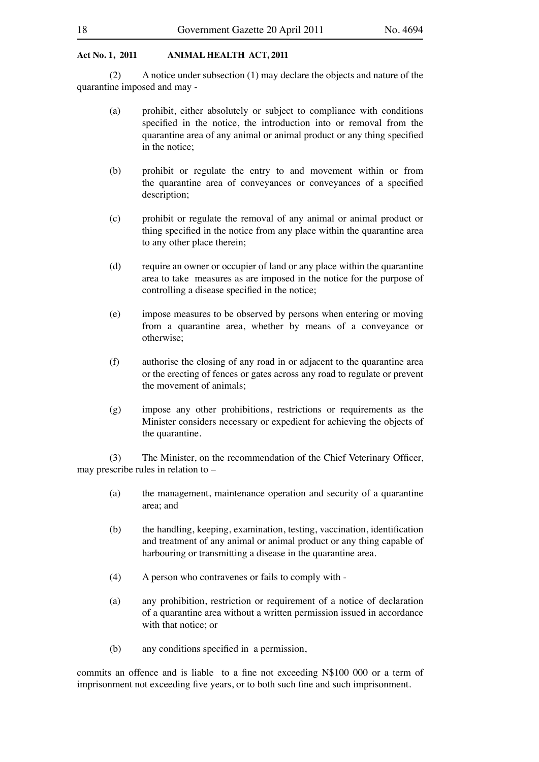(2) A notice under subsection  $(1)$  may declare the objects and nature of the quarantine imposed and may -

- (a) prohibit, either absolutely or subject to compliance with conditions specified in the notice, the introduction into or removal from the quarantine area of any animal or animal product or any thing specified in the notice;
- (b) prohibit or regulate the entry to and movement within or from the quarantine area of conveyances or conveyances of a specified description;
- (c) prohibit or regulate the removal of any animal or animal product or thing specified in the notice from any place within the quarantine area to any other place therein;
- (d) require an owner or occupier of land or any place within the quarantine area to take measures as are imposed in the notice for the purpose of controlling a disease specified in the notice;
- (e) impose measures to be observed by persons when entering or moving from a quarantine area, whether by means of a conveyance or otherwise;
- (f) authorise the closing of any road in or adjacent to the quarantine area or the erecting of fences or gates across any road to regulate or prevent the movement of animals;
- (g) impose any other prohibitions, restrictions or requirements as the Minister considers necessary or expedient for achieving the objects of the quarantine.

(3) The Minister, on the recommendation of the Chief Veterinary Officer, may prescribe rules in relation to –

- (a) the management, maintenance operation and security of a quarantine area; and
- (b) the handling, keeping, examination, testing, vaccination, identification and treatment of any animal or animal product or any thing capable of harbouring or transmitting a disease in the quarantine area.
- (4) A person who contravenes or fails to comply with -
- (a) any prohibition, restriction or requirement of a notice of declaration of a quarantine area without a written permission issued in accordance with that notice; or
- (b) any conditions specified in a permission,

commits an offence and is liable to a fine not exceeding N\$100 000 or a term of imprisonment not exceeding five years, or to both such fine and such imprisonment.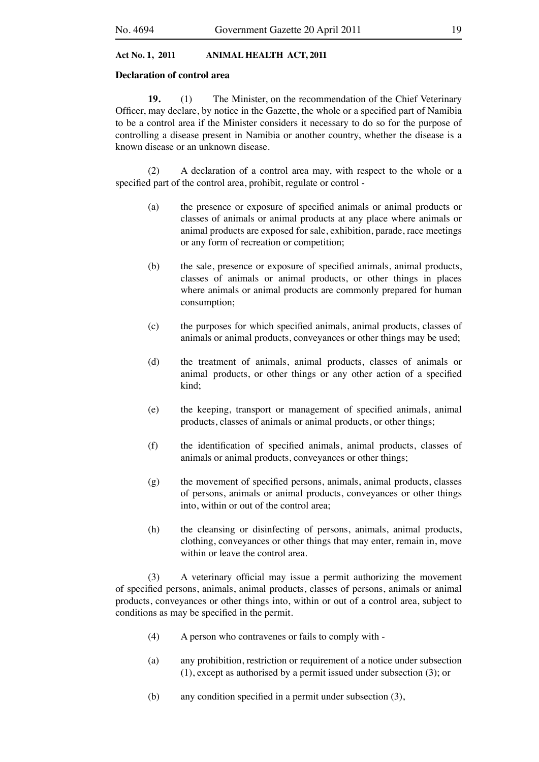#### **Declaration of control area**

**19.** (1) The Minister, on the recommendation of the Chief Veterinary Officer, may declare, by notice in the Gazette, the whole or a specified part of Namibia to be a control area if the Minister considers it necessary to do so for the purpose of controlling a disease present in Namibia or another country, whether the disease is a known disease or an unknown disease.

 (2) A declaration of a control area may, with respect to the whole or a specified part of the control area, prohibit, regulate or control -

- (a) the presence or exposure of specified animals or animal products or classes of animals or animal products at any place where animals or animal products are exposed for sale, exhibition, parade, race meetings or any form of recreation or competition;
- (b) the sale, presence or exposure of specified animals, animal products, classes of animals or animal products, or other things in places where animals or animal products are commonly prepared for human consumption;
- (c) the purposes for which specified animals, animal products, classes of animals or animal products, conveyances or other things may be used;
- (d) the treatment of animals, animal products, classes of animals or animal products, or other things or any other action of a specified kind;
- (e) the keeping, transport or management of specified animals, animal products, classes of animals or animal products, or other things;
- (f) the identification of specified animals, animal products, classes of animals or animal products, conveyances or other things;
- $(g)$  the movement of specified persons, animals, animal products, classes of persons, animals or animal products, conveyances or other things into, within or out of the control area;
- (h) the cleansing or disinfecting of persons, animals, animal products, clothing, conveyances or other things that may enter, remain in, move within or leave the control area.

 (3) A veterinary official may issue a permit authorizing the movement of specified persons, animals, animal products, classes of persons, animals or animal products, conveyances or other things into, within or out of a control area, subject to conditions as may be specified in the permit.

- (4) A person who contravenes or fails to comply with -
- (a) any prohibition, restriction or requirement of a notice under subsection (1), except as authorised by a permit issued under subsection (3); or
- (b) any condition specified in a permit under subsection  $(3)$ ,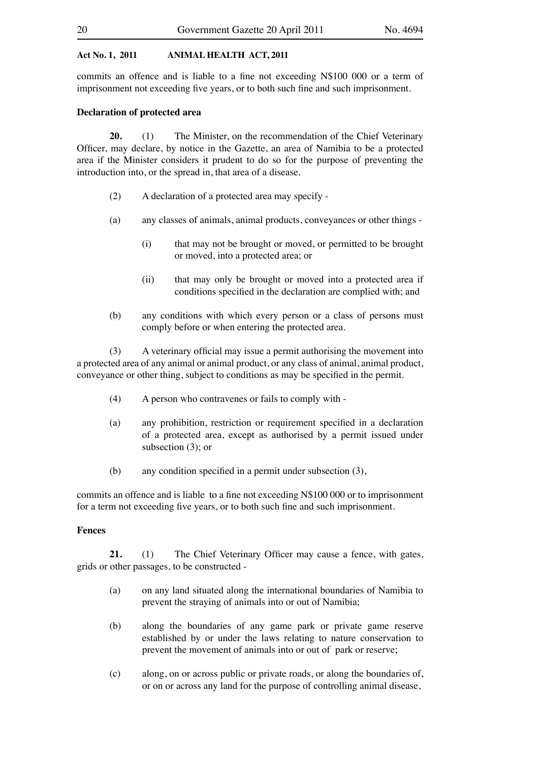commits an offence and is liable to a fine not exceeding N\$100 000 or a term of imprisonment not exceeding five years, or to both such fine and such imprisonment.

#### **Declaration of protected area**

**20.** (1) The Minister, on the recommendation of the Chief Veterinary Officer, may declare, by notice in the Gazette, an area of Namibia to be a protected area if the Minister considers it prudent to do so for the purpose of preventing the introduction into, or the spread in, that area of a disease.

- (2) A declaration of a protected area may specify -
- (a) any classes of animals, animal products, conveyances or other things
	- (i) that may not be brought or moved, or permitted to be brought or moved, into a protected area; or
	- (ii) that may only be brought or moved into a protected area if conditions specified in the declaration are complied with; and
- (b) any conditions with which every person or a class of persons must comply before or when entering the protected area.

 (3) A veterinary official may issue a permit authorising the movement into a protected area of any animal or animal product, or any class of animal, animal product, conveyance or other thing, subject to conditions as may be specified in the permit.

- (4) A person who contravenes or fails to comply with -
- (a) any prohibition, restriction or requirement specified in a declaration of a protected area, except as authorised by a permit issued under subsection (3); or
- (b) any condition specified in a permit under subsection (3),

commits an offence and is liable to a fine not exceeding N\$100 000 or to imprisonment for a term not exceeding five years, or to both such fine and such imprisonment.

## **Fences**

**21.** (1) The Chief Veterinary Officer may cause a fence, with gates, grids or other passages, to be constructed -

- (a) on any land situated along the international boundaries of Namibia to prevent the straying of animals into or out of Namibia;
- (b) along the boundaries of any game park or private game reserve established by or under the laws relating to nature conservation to prevent the movement of animals into or out of park or reserve;
- (c) along, on or across public or private roads, or along the boundaries of, or on or across any land for the purpose of controlling animal disease,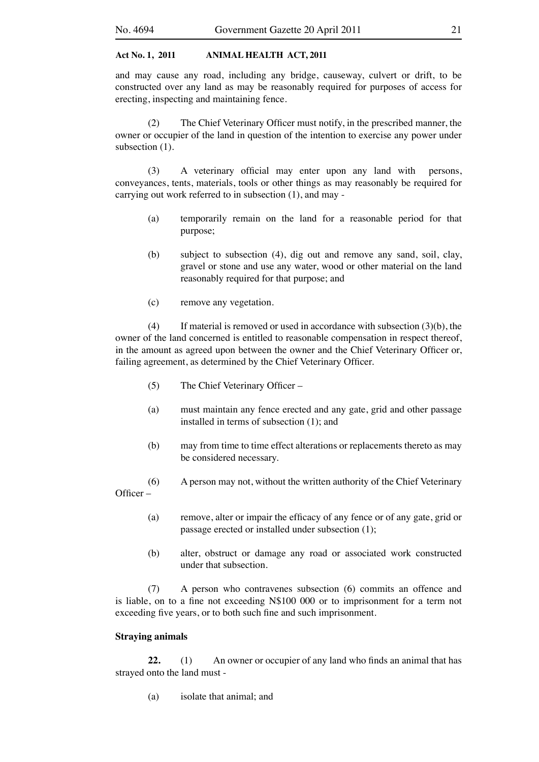and may cause any road, including any bridge, causeway, culvert or drift, to be constructed over any land as may be reasonably required for purposes of access for erecting, inspecting and maintaining fence.

 (2) The Chief Veterinary Officer must notify, in the prescribed manner, the owner or occupier of the land in question of the intention to exercise any power under subsection  $(1)$ .

 (3) A veterinary official may enter upon any land with persons, conveyances, tents, materials, tools or other things as may reasonably be required for carrying out work referred to in subsection (1), and may -

- (a) temporarily remain on the land for a reasonable period for that purpose;
- (b) subject to subsection (4), dig out and remove any sand, soil, clay, gravel or stone and use any water, wood or other material on the land reasonably required for that purpose; and
- (c) remove any vegetation.

(4) If material is removed or used in accordance with subsection  $(3)(b)$ , the owner of the land concerned is entitled to reasonable compensation in respect thereof, in the amount as agreed upon between the owner and the Chief Veterinary Officer or, failing agreement, as determined by the Chief Veterinary Officer.

- (5) The Chief Veterinary Officer –
- (a) must maintain any fence erected and any gate, grid and other passage installed in terms of subsection (1); and
- (b) may from time to time effect alterations or replacements thereto as may be considered necessary.
- (6) A person may not, without the written authority of the Chief Veterinary Officer –
	- (a) remove, alter or impair the efficacy of any fence or of any gate, grid or passage erected or installed under subsection (1);
	- (b) alter, obstruct or damage any road or associated work constructed under that subsection.

 (7) A person who contravenes subsection (6) commits an offence and is liable, on to a fine not exceeding N\$100 000 or to imprisonment for a term not exceeding five years, or to both such fine and such imprisonment.

### **Straying animals**

22. (1) An owner or occupier of any land who finds an animal that has strayed onto the land must -

 (a) isolate that animal; and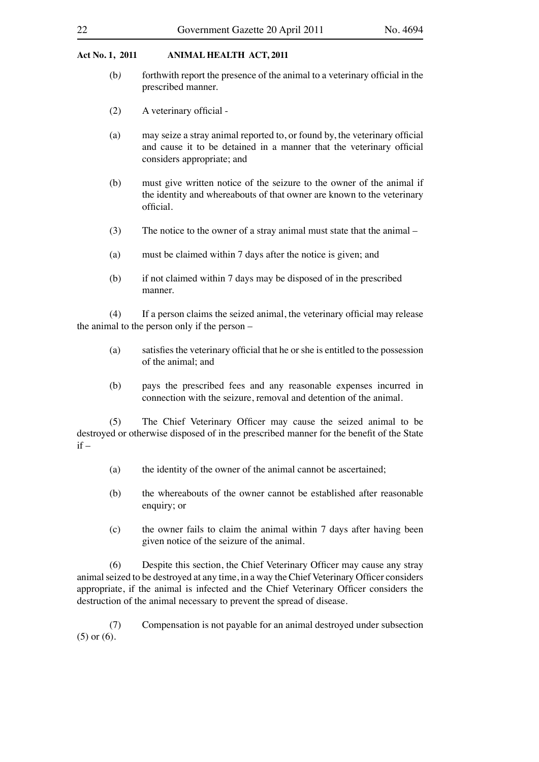#### 22 Government Gazette 20 April 2011 No. 4694

#### **Act No. 1, 2011 ANIMAL HEALTH ACT, 2011**

- (b*)* forthwith report the presence of the animal to a veterinary official in the prescribed manner.
- (2) A veterinary official -
- (a) may seize a stray animal reported to, or found by, the veterinary official and cause it to be detained in a manner that the veterinary official considers appropriate; and
- (b) must give written notice of the seizure to the owner of the animal if the identity and whereabouts of that owner are known to the veterinary official.
- (3) The notice to the owner of a stray animal must state that the animal  $-$
- (a) must be claimed within 7 days after the notice is given; and
- (b) if not claimed within 7 days may be disposed of in the prescribed manner.

 (4) If a person claims the seized animal, the veterinary official may release the animal to the person only if the person –

- (a) satisfies the veterinary official that he or she is entitled to the possession of the animal; and
- (b) pays the prescribed fees and any reasonable expenses incurred in connection with the seizure, removal and detention of the animal.

 (5) The Chief Veterinary Officer may cause the seized animal to be destroyed or otherwise disposed of in the prescribed manner for the benefit of the State  $if -$ 

- (a) the identity of the owner of the animal cannot be ascertained;
- (b) the whereabouts of the owner cannot be established after reasonable enquiry; or
- (c) the owner fails to claim the animal within 7 days after having been given notice of the seizure of the animal.

 (6) Despite this section, the Chief Veterinary Officer may cause any stray animalseized to be destroyed at any time, in a way the Chief Veterinary Officer considers appropriate, if the animal is infected and the Chief Veterinary Officer considers the destruction of the animal necessary to prevent the spread of disease.

 (7) Compensation is not payable for an animal destroyed under subsection (5) or (6).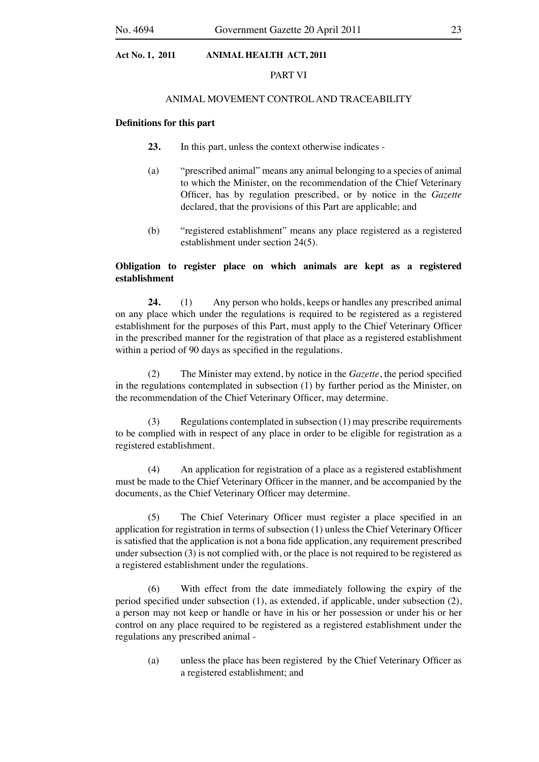#### PART VI

#### ANIMAL MOVEMENT CONTROL AND TRACEABILITY

#### **Definitions for this part**

- **23.** In this part, unless the context otherwise indicates -
- (a) "prescribed animal" means any animal belonging to a species of animal to which the Minister, on the recommendation of the Chief Veterinary Officer, has by regulation prescribed, or by notice in the *Gazette* declared, that the provisions of this Part are applicable; and
- (b) "registered establishment" means any place registered as a registered establishment under section 24(5).

## **Obligation to register place on which animals are kept as a registered establishment**

**24.** (1) Any person who holds, keeps or handles any prescribed animal on any place which under the regulations is required to be registered as a registered establishment for the purposes of this Part, must apply to the Chief Veterinary Officer in the prescribed manner for the registration of that place as a registered establishment within a period of 90 days as specified in the regulations.

 (2) The Minister may extend, by notice in the *Gazette*, the period specified in the regulations contemplated in subsection (1) by further period as the Minister, on the recommendation of the Chief Veterinary Officer, may determine.

(3) Regulations contemplated in subsection  $(1)$  may prescribe requirements to be complied with in respect of any place in order to be eligible for registration as a registered establishment.

 (4) An application for registration of a place as a registered establishment must be made to the Chief Veterinary Officer in the manner, and be accompanied by the documents, as the Chief Veterinary Officer may determine.

 (5) The Chief Veterinary Officer must register a place specified in an application for registration in terms of subsection (1) unless the Chief Veterinary Officer is satisfied that the application is not a bona fide application, any requirement prescribed under subsection (3) is not complied with, or the place is not required to be registered as a registered establishment under the regulations.

 (6) With effect from the date immediately following the expiry of the period specified under subsection (1), as extended, if applicable, under subsection (2), a person may not keep or handle or have in his or her possession or under his or her control on any place required to be registered as a registered establishment under the regulations any prescribed animal -

 (a) unless the place has been registered by the Chief Veterinary Officer as a registered establishment; and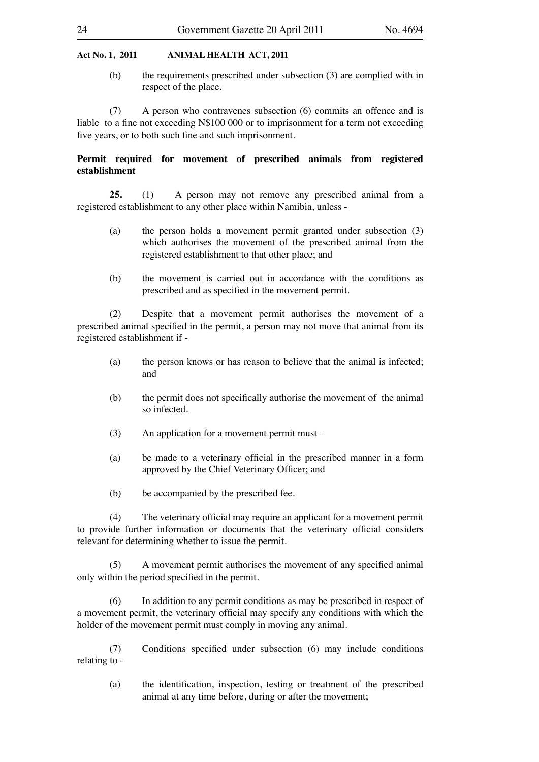(b) the requirements prescribed under subsection (3) are complied with in respect of the place.

 (7) A person who contravenes subsection (6) commits an offence and is liable to a fine not exceeding N\$100 000 or to imprisonment for a term not exceeding five years, or to both such fine and such imprisonment.

## **Permit required for movement of prescribed animals from registered establishment**

25. (1) A person may not remove any prescribed animal from a registered establishment to any other place within Namibia, unless -

- (a) the person holds a movement permit granted under subsection (3) which authorises the movement of the prescribed animal from the registered establishment to that other place; and
- (b) the movement is carried out in accordance with the conditions as prescribed and as specified in the movement permit.

 (2) Despite that a movement permit authorises the movement of a prescribed animal specified in the permit, a person may not move that animal from its registered establishment if -

- (a) the person knows or has reason to believe that the animal is infected; and
- (b) the permit does not specifically authorise the movement of the animal so infected.
- $(3)$  An application for a movement permit must –
- (a) be made to a veterinary official in the prescribed manner in a form approved by the Chief Veterinary Officer; and
- (b) be accompanied by the prescribed fee.

 (4) The veterinary official may require an applicant for a movement permit to provide further information or documents that the veterinary official considers relevant for determining whether to issue the permit.

 (5) A movement permit authorises the movement of any specified animal only within the period specified in the permit.

 (6) In addition to any permit conditions as may be prescribed in respect of a movement permit, the veterinary official may specify any conditions with which the holder of the movement permit must comply in moving any animal.

 (7) Conditions specified under subsection (6) may include conditions relating to -

 (a) the identification, inspection, testing or treatment of the prescribed animal at any time before, during or after the movement;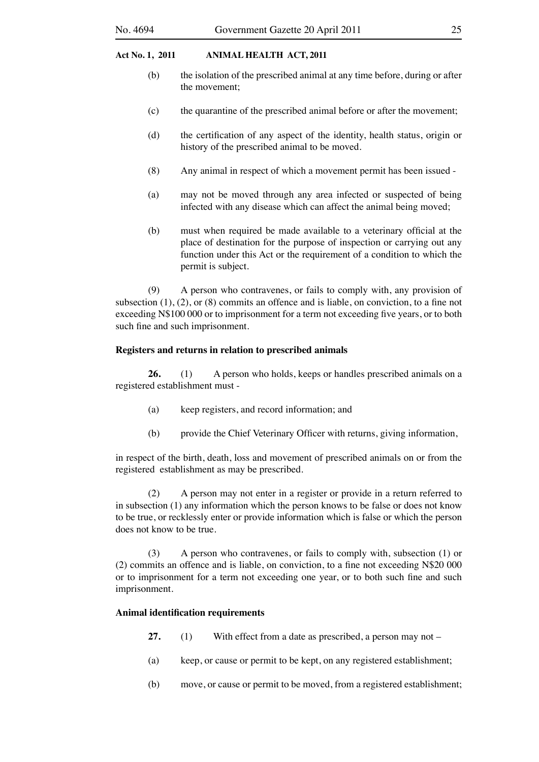- (b) the isolation of the prescribed animal at any time before, during or after the movement;
- (c) the quarantine of the prescribed animal before or after the movement;
- (d) the certification of any aspect of the identity, health status, origin or history of the prescribed animal to be moved.
- (8) Any animal in respect of which a movement permit has been issued -
- (a) may not be moved through any area infected or suspected of being infected with any disease which can affect the animal being moved;
- (b) must when required be made available to a veterinary official at the place of destination for the purpose of inspection or carrying out any function under this Act or the requirement of a condition to which the permit is subject.

 (9) A person who contravenes, or fails to comply with, any provision of subsection  $(1)$ ,  $(2)$ , or  $(8)$  commits an offence and is liable, on conviction, to a fine not exceeding N\$100 000 or to imprisonment for a term not exceeding five years, or to both such fine and such imprisonment.

#### **Registers and returns in relation to prescribed animals**

**26.** (1) A person who holds, keeps or handles prescribed animals on a registered establishment must -

- (a) keep registers, and record information; and
- (b) provide the Chief Veterinary Officer with returns, giving information,

in respect of the birth, death, loss and movement of prescribed animals on or from the registered establishment as may be prescribed.

 (2) A person may not enter in a register or provide in a return referred to in subsection (1) any information which the person knows to be false or does not know to be true, or recklessly enter or provide information which is false or which the person does not know to be true.

 (3) A person who contravenes, or fails to comply with, subsection (1) or (2) commits an offence and is liable, on conviction, to a fine not exceeding N\$20 000 or to imprisonment for a term not exceeding one year, or to both such fine and such imprisonment.

## **Animal identification requirements**

- **27.** (1) With effect from a date as prescribed, a person may not  $-$
- (a) keep, or cause or permit to be kept, on any registered establishment;
- (b) move, or cause or permit to be moved, from a registered establishment;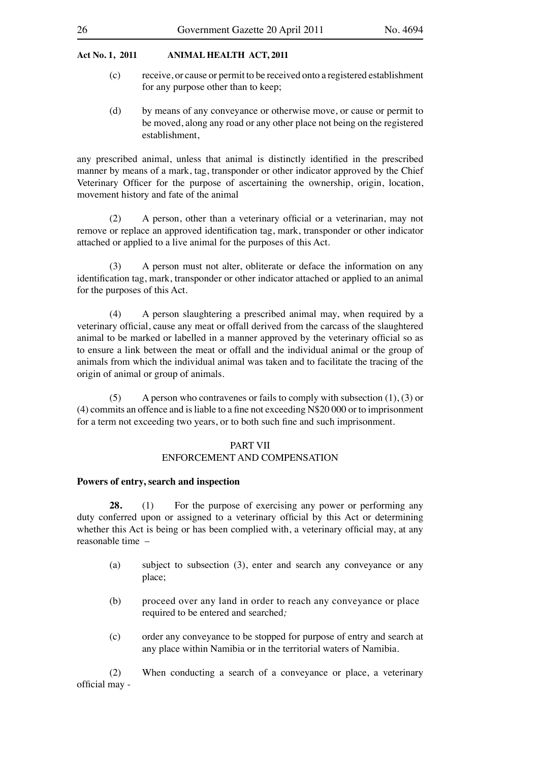- (c) receive, or cause or permit to be received onto a registered establishment for any purpose other than to keep;
- (d) by means of any conveyance or otherwise move, or cause or permit to be moved, along any road or any other place not being on the registered establishment,

any prescribed animal, unless that animal is distinctly identified in the prescribed manner by means of a mark, tag, transponder or other indicator approved by the Chief Veterinary Officer for the purpose of ascertaining the ownership, origin, location, movement history and fate of the animal

 (2) A person, other than a veterinary official or a veterinarian, may not remove or replace an approved identification tag, mark, transponder or other indicator attached or applied to a live animal for the purposes of this Act.

(3) A person must not alter, obliterate or deface the information on any identification tag, mark, transponder or other indicator attached or applied to an animal for the purposes of this Act.

 (4) A person slaughtering a prescribed animal may, when required by a veterinary official, cause any meat or offall derived from the carcass of the slaughtered animal to be marked or labelled in a manner approved by the veterinary official so as to ensure a link between the meat or offall and the individual animal or the group of animals from which the individual animal was taken and to facilitate the tracing of the origin of animal or group of animals.

(5) A person who contravenes or fails to comply with subsection  $(1)$ ,  $(3)$  or (4) commits an offence and isliable to a fine not exceeding N\$20 000 or to imprisonment for a term not exceeding two years, or to both such fine and such imprisonment.

#### PART VII

## ENFORCEMENT AND COMPENSATION

#### **Powers of entry, search and inspection**

**28.** (1) For the purpose of exercising any power or performing any duty conferred upon or assigned to a veterinary official by this Act or determining whether this Act is being or has been complied with, a veterinary official may, at any reasonable time –

- (a) subject to subsection (3), enter and search any conveyance or any place;
- (b) proceed over any land in order to reach any conveyance or place required to be entered and searched*;*
- (c) order any conveyance to be stopped for purpose of entry and search at any place within Namibia or in the territorial waters of Namibia.

(2) When conducting a search of a conveyance or place, a veterinary official may -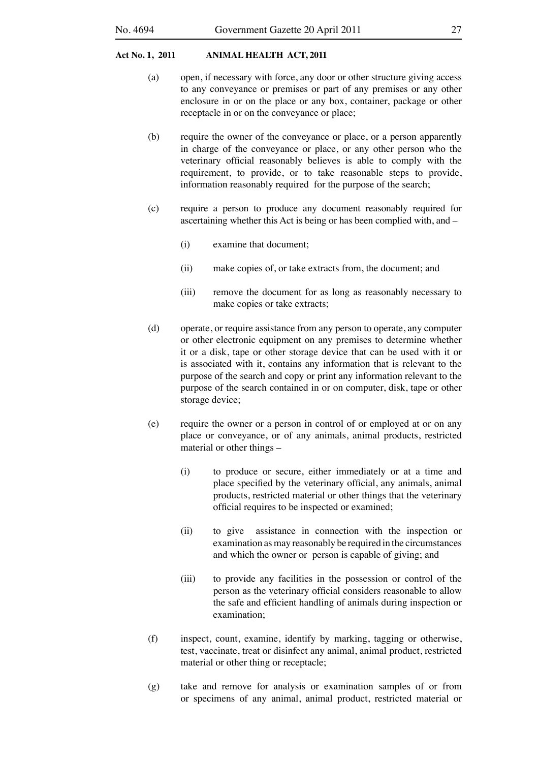- (a) open, if necessary with force, any door or other structure giving access to any conveyance or premises or part of any premises or any other enclosure in or on the place or any box, container, package or other receptacle in or on the conveyance or place;
- (b) require the owner of the conveyance or place, or a person apparently in charge of the conveyance or place, or any other person who the veterinary official reasonably believes is able to comply with the requirement, to provide, or to take reasonable steps to provide, information reasonably required for the purpose of the search;
- (c) require a person to produce any document reasonably required for ascertaining whether this Act is being or has been complied with, and –
	- (i) examine that document;
	- (ii) make copies of, or take extracts from, the document; and
	- (iii) remove the document for as long as reasonably necessary to make copies or take extracts;
- (d) operate, or require assistance from any person to operate, any computer or other electronic equipment on any premises to determine whether it or a disk, tape or other storage device that can be used with it or is associated with it, contains any information that is relevant to the purpose of the search and copy or print any information relevant to the purpose of the search contained in or on computer, disk, tape or other storage device;
- (e) require the owner or a person in control of or employed at or on any place or conveyance, or of any animals, animal products, restricted material or other things –
	- (i) to produce or secure, either immediately or at a time and place specified by the veterinary official, any animals, animal products, restricted material or other things that the veterinary official requires to be inspected or examined;
	- (ii) to give assistance in connection with the inspection or examination as may reasonably be required in the circumstances and which the owner or person is capable of giving; and
	- (iii) to provide any facilities in the possession or control of the person as the veterinary official considers reasonable to allow the safe and efficient handling of animals during inspection or examination;
- (f) inspect, count, examine, identify by marking, tagging or otherwise, test, vaccinate, treat or disinfect any animal, animal product, restricted material or other thing or receptacle;
- (g) take and remove for analysis or examination samples of or from or specimens of any animal, animal product, restricted material or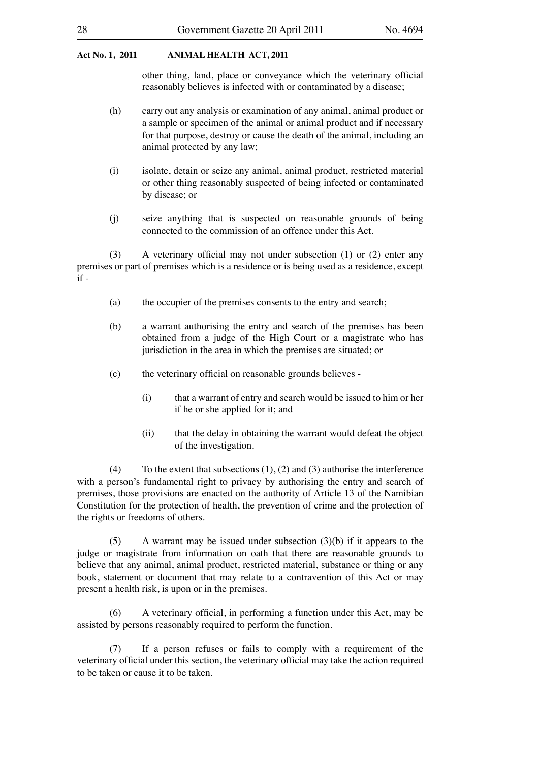other thing, land, place or conveyance which the veterinary official reasonably believes is infected with or contaminated by a disease;

- (h) carry out any analysis or examination of any animal, animal product or a sample or specimen of the animal or animal product and if necessary for that purpose, destroy or cause the death of the animal, including an animal protected by any law;
- (i) isolate, detain or seize any animal, animal product, restricted material or other thing reasonably suspected of being infected or contaminated by disease; or
- (j) seize anything that is suspected on reasonable grounds of being connected to the commission of an offence under this Act.

 (3) A veterinary official may not under subsection (1) or (2) enter any premises or part of premises which is a residence or is being used as a residence, except if -

- (a) the occupier of the premises consents to the entry and search;
- (b) a warrant authorising the entry and search of the premises has been obtained from a judge of the High Court or a magistrate who has jurisdiction in the area in which the premises are situated; or
- (c) the veterinary official on reasonable grounds believes
	- (i) that a warrant of entry and search would be issued to him or her if he or she applied for it; and
	- (ii) that the delay in obtaining the warrant would defeat the object of the investigation.

(4) To the extent that subsections  $(1)$ ,  $(2)$  and  $(3)$  authorise the interference with a person's fundamental right to privacy by authorising the entry and search of premises, those provisions are enacted on the authority of Article 13 of the Namibian Constitution for the protection of health, the prevention of crime and the protection of the rights or freedoms of others.

 $(5)$  A warrant may be issued under subsection  $(3)(b)$  if it appears to the judge or magistrate from information on oath that there are reasonable grounds to believe that any animal, animal product, restricted material, substance or thing or any book, statement or document that may relate to a contravention of this Act or may present a health risk, is upon or in the premises.

 (6) A veterinary official, in performing a function under this Act, may be assisted by persons reasonably required to perform the function.

 (7) If a person refuses or fails to comply with a requirement of the veterinary official under this section, the veterinary official may take the action required to be taken or cause it to be taken.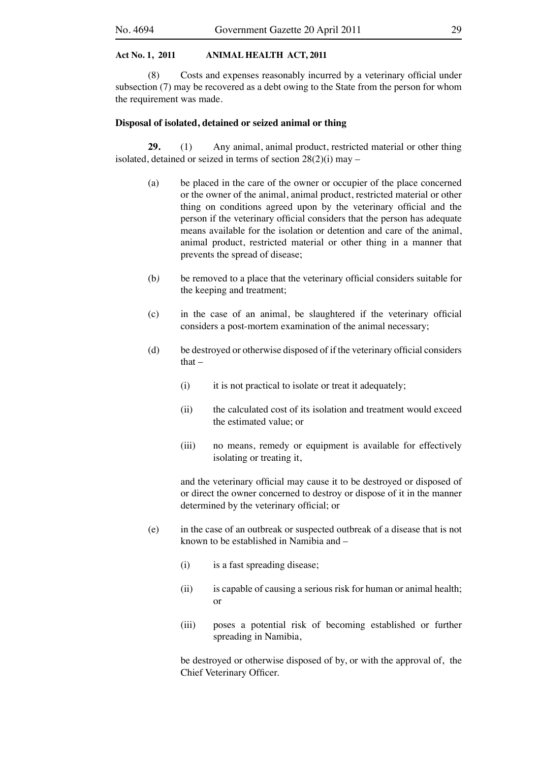(8) Costs and expenses reasonably incurred by a veterinary official under subsection (7) may be recovered as a debt owing to the State from the person for whom the requirement was made.

#### **Disposal of isolated, detained or seized animal or thing**

**29.** (1) Any animal, animal product, restricted material or other thing isolated, detained or seized in terms of section 28(2)(i) may –

- (a) be placed in the care of the owner or occupier of the place concerned or the owner of the animal, animal product, restricted material or other thing on conditions agreed upon by the veterinary official and the person if the veterinary official considers that the person has adequate means available for the isolation or detention and care of the animal, animal product, restricted material or other thing in a manner that prevents the spread of disease;
- (b*)* be removed to a place that the veterinary official considers suitable for the keeping and treatment;
- (c) in the case of an animal, be slaughtered if the veterinary official considers a post-mortem examination of the animal necessary;
- (d) be destroyed or otherwise disposed of if the veterinary official considers that $-$ 
	- (i) it is not practical to isolate or treat it adequately;
	- (ii) the calculated cost of its isolation and treatment would exceed the estimated value; or
	- (iii) no means, remedy or equipment is available for effectively isolating or treating it,

 and the veterinary official may cause it to be destroyed or disposed of or direct the owner concerned to destroy or dispose of it in the manner determined by the veterinary official; or

- (e) in the case of an outbreak or suspected outbreak of a disease that is not known to be established in Namibia and –
	- (i) is a fast spreading disease;
	- (ii) is capable of causing a serious risk for human or animal health; or
	- (iii) poses a potential risk of becoming established or further spreading in Namibia,

 be destroyed or otherwise disposed of by, or with the approval of, the Chief Veterinary Officer.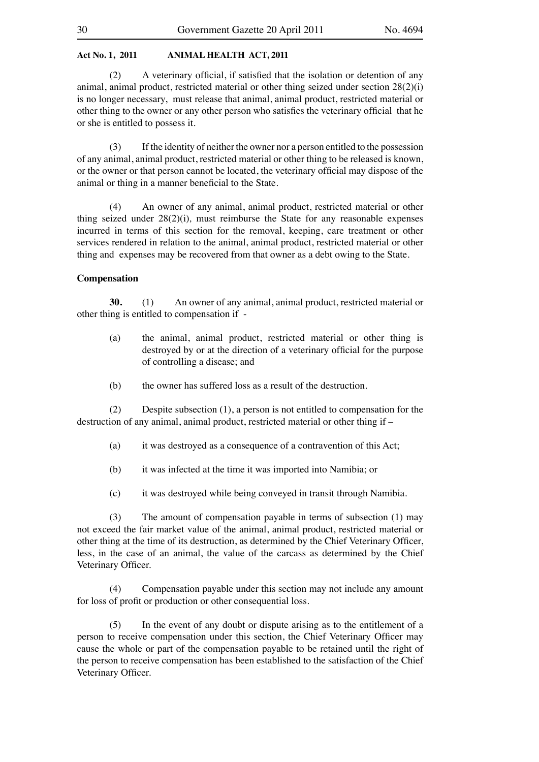(2) A veterinary official, if satisfied that the isolation or detention of any animal, animal product, restricted material or other thing seized under section 28(2)(i) is no longer necessary, must release that animal, animal product, restricted material or other thing to the owner or any other person who satisfies the veterinary official that he or she is entitled to possess it.

 (3) If the identity of neither the owner nor a person entitled to the possession of any animal, animal product, restricted material or other thing to be released is known, or the owner or that person cannot be located, the veterinary official may dispose of the animal or thing in a manner beneficial to the State.

 (4) An owner of any animal, animal product, restricted material or other thing seized under 28(2)(i)*,* must reimburse the State for any reasonable expenses incurred in terms of this section for the removal, keeping, care treatment or other services rendered in relation to the animal, animal product, restricted material or other thing and expenses may be recovered from that owner as a debt owing to the State.

#### **Compensation**

**30.** (1) An owner of any animal, animal product, restricted material or other thing is entitled to compensation if -

- (a) the animal, animal product, restricted material or other thing is destroyed by or at the direction of a veterinary official for the purpose of controlling a disease; and
- (b) the owner has suffered loss as a result of the destruction.

 (2) Despite subsection (1), a person is not entitled to compensation for the destruction of any animal, animal product, restricted material or other thing if –

- (a) it was destroyed as a consequence of a contravention of this Act;
- (b) it was infected at the time it was imported into Namibia; or
- (c) it was destroyed while being conveyed in transit through Namibia.

(3) The amount of compensation payable in terms of subsection (1) may not exceed the fair market value of the animal, animal product, restricted material or other thing at the time of its destruction, as determined by the Chief Veterinary Officer, less, in the case of an animal, the value of the carcass as determined by the Chief Veterinary Officer.

 (4) Compensation payable under this section may not include any amount for loss of profit or production or other consequential loss.

 (5) In the event of any doubt or dispute arising as to the entitlement of a person to receive compensation under this section, the Chief Veterinary Officer may cause the whole or part of the compensation payable to be retained until the right of the person to receive compensation has been established to the satisfaction of the Chief Veterinary Officer.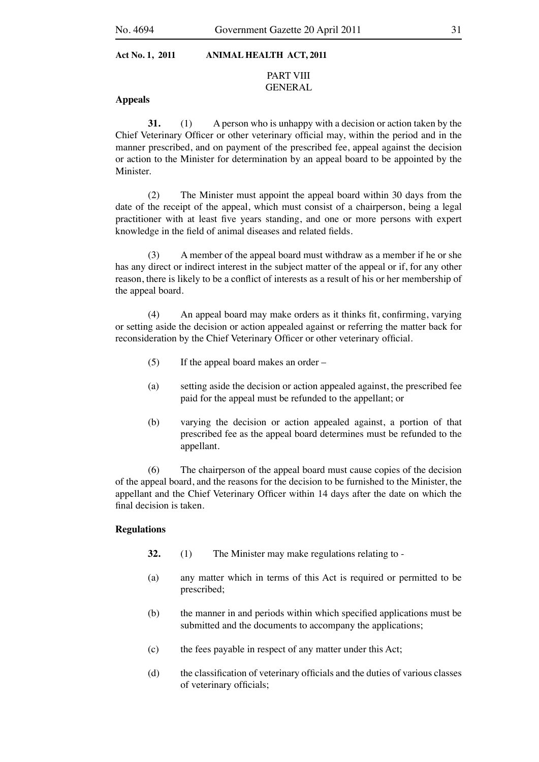## PART VIII GENERAL

## **Appeals**

**31.** (1) A person who is unhappy with a decision or action taken by the Chief Veterinary Officer or other veterinary official may, within the period and in the manner prescribed, and on payment of the prescribed fee, appeal against the decision or action to the Minister for determination by an appeal board to be appointed by the Minister.

 (2) The Minister must appoint the appeal board within 30 days from the date of the receipt of the appeal, which must consist of a chairperson, being a legal practitioner with at least five years standing, and one or more persons with expert knowledge in the field of animal diseases and related fields.

 (3) A member of the appeal board must withdraw as a member if he or she has any direct or indirect interest in the subject matter of the appeal or if, for any other reason, there is likely to be a conflict of interests as a result of his or her membership of the appeal board.

 (4) An appeal board may make orders as it thinks fit, confirming, varying or setting aside the decision or action appealed against or referring the matter back for reconsideration by the Chief Veterinary Officer or other veterinary official.

- $(5)$  If the appeal board makes an order –
- (a) setting aside the decision or action appealed against, the prescribed fee paid for the appeal must be refunded to the appellant; or
- (b) varying the decision or action appealed against, a portion of that prescribed fee as the appeal board determines must be refunded to the appellant.

 (6) The chairperson of the appeal board must cause copies of the decision of the appeal board, and the reasons for the decision to be furnished to the Minister, the appellant and the Chief Veterinary Officer within 14 days after the date on which the final decision is taken.

### **Regulations**

- **32.** (1) The Minister may make regulations relating to -
- (a) any matter which in terms of this Act is required or permitted to be prescribed;
- (b) the manner in and periods within which specified applications must be submitted and the documents to accompany the applications;
- (c) the fees payable in respect of any matter under this Act;
- (d) the classification of veterinary officials and the duties of various classes of veterinary officials;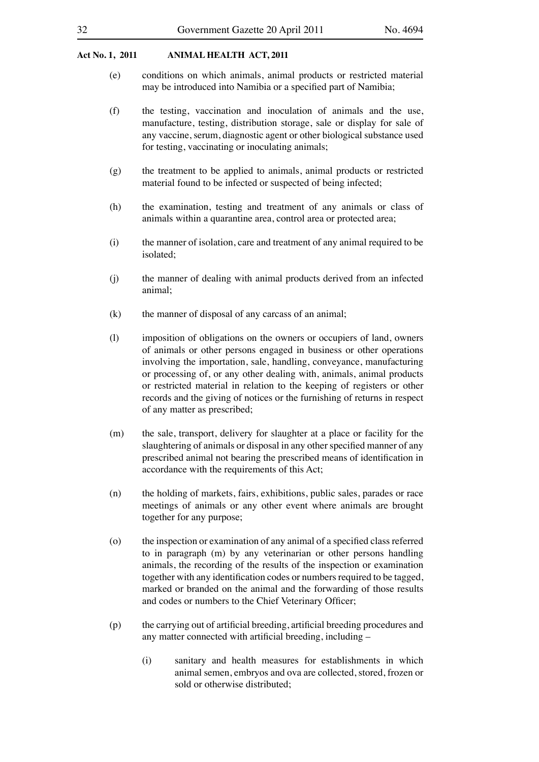- (e) conditions on which animals, animal products or restricted material may be introduced into Namibia or a specified part of Namibia;
- (f) the testing, vaccination and inoculation of animals and the use, manufacture, testing, distribution storage, sale or display for sale of any vaccine, serum, diagnostic agent or other biological substance used for testing, vaccinating or inoculating animals;
- (g) the treatment to be applied to animals, animal products or restricted material found to be infected or suspected of being infected;
- (h) the examination, testing and treatment of any animals or class of animals within a quarantine area, control area or protected area;
- (i) the manner of isolation, care and treatment of any animal required to be isolated;
- (j) the manner of dealing with animal products derived from an infected animal;
- $(k)$  the manner of disposal of any carcass of an animal;
- (l) imposition of obligations on the owners or occupiers of land, owners of animals or other persons engaged in business or other operations involving the importation, sale, handling, conveyance, manufacturing or processing of, or any other dealing with, animals, animal products or restricted material in relation to the keeping of registers or other records and the giving of notices or the furnishing of returns in respect of any matter as prescribed;
- (m) the sale, transport, delivery for slaughter at a place or facility for the slaughtering of animals or disposal in any other specified manner of any prescribed animal not bearing the prescribed means of identification in accordance with the requirements of this Act;
- (n) the holding of markets, fairs, exhibitions, public sales, parades or race meetings of animals or any other event where animals are brought together for any purpose;
- (o) the inspection or examination of any animal of a specified class referred to in paragraph (m) by any veterinarian or other persons handling animals, the recording of the results of the inspection or examination together with any identification codes or numbers required to be tagged, marked or branded on the animal and the forwarding of those results and codes or numbers to the Chief Veterinary Officer;
- (p) the carrying out of artificial breeding, artificial breeding procedures and any matter connected with artificial breeding, including –
	- (i) sanitary and health measures for establishments in which animal semen, embryos and ova are collected, stored, frozen or sold or otherwise distributed;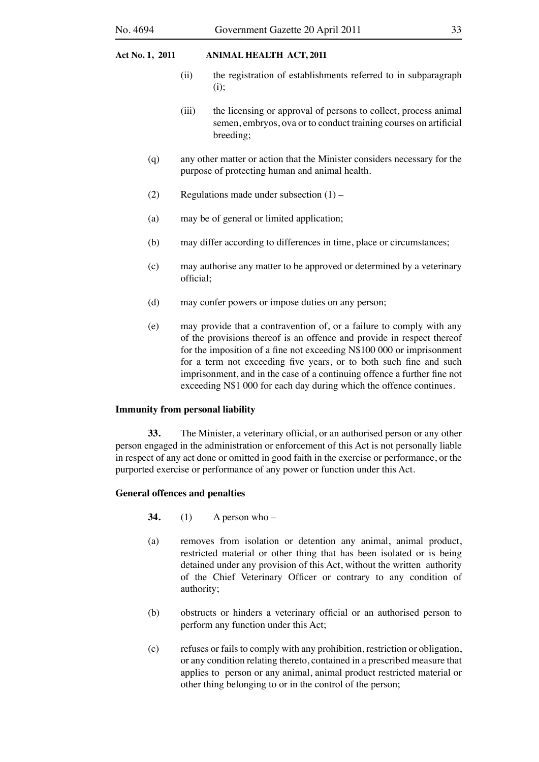- (ii) the registration of establishments referred to in subparagraph (i);
- (iii) the licensing or approval of persons to collect, process animal semen, embryos, ova or to conduct training courses on artificial breeding;
- (q) any other matter or action that the Minister considers necessary for the purpose of protecting human and animal health.
- (2) Regulations made under subsection  $(1)$  –
- (a) may be of general or limited application;
- (b) may differ according to differences in time, place or circumstances;
- (c) may authorise any matter to be approved or determined by a veterinary official;
- (d) may confer powers or impose duties on any person;
- (e) may provide that a contravention of, or a failure to comply with any of the provisions thereof is an offence and provide in respect thereof for the imposition of a fine not exceeding N\$100 000 or imprisonment for a term not exceeding five years, or to both such fine and such imprisonment, and in the case of a continuing offence a further fine not exceeding N\$1 000 for each day during which the offence continues.

## **Immunity from personal liability**

**33.** The Minister, a veterinary official, or an authorised person or any other person engaged in the administration or enforcement of this Act is not personally liable in respect of any act done or omitted in good faith in the exercise or performance, or the purported exercise or performance of any power or function under this Act.

## **General offences and penalties**

- **34.** (1) A person who –
- (a) removes from isolation or detention any animal, animal product, restricted material or other thing that has been isolated or is being detained under any provision of this Act, without the written authority of the Chief Veterinary Officer or contrary to any condition of authority;
- (b) obstructs or hinders a veterinary official or an authorised person to perform any function under this Act;
- (c) refuses or fails to comply with any prohibition, restriction or obligation, or any condition relating thereto, contained in a prescribed measure that applies to person or any animal, animal product restricted material or other thing belonging to or in the control of the person;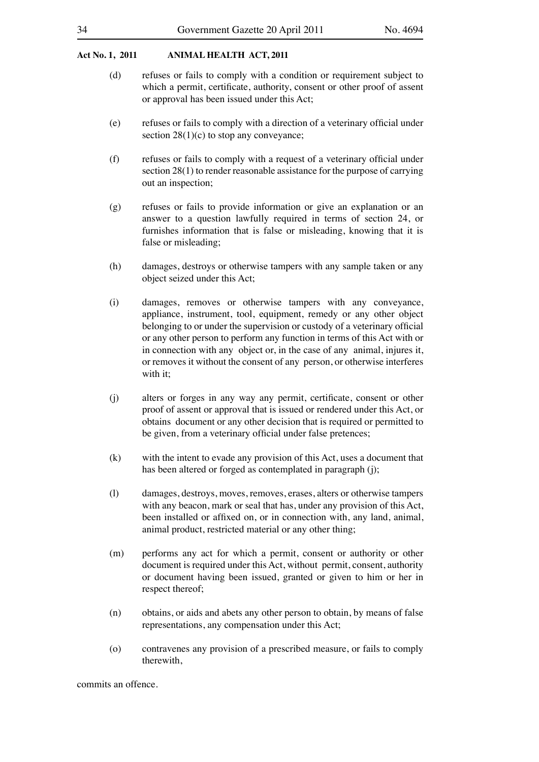- (d) refuses or fails to comply with a condition or requirement subject to which a permit, certificate, authority, consent or other proof of assent or approval has been issued under this Act;
- (e) refuses or fails to comply with a direction of a veterinary official under section  $28(1)(c)$  to stop any conveyance;
- (f) refuses or fails to comply with a request of a veterinary official under section 28(1) to render reasonable assistance for the purpose of carrying out an inspection;
- (g) refuses or fails to provide information or give an explanation or an answer to a question lawfully required in terms of section 24, or furnishes information that is false or misleading, knowing that it is false or misleading;
- (h) damages, destroys or otherwise tampers with any sample taken or any object seized under this Act;
- (i) damages, removes or otherwise tampers with any conveyance, appliance, instrument, tool, equipment, remedy or any other object belonging to or under the supervision or custody of a veterinary official or any other person to perform any function in terms of this Act with or in connection with any object or, in the case of any animal, injures it, or removes it without the consent of any person, or otherwise interferes with it;
- (j) alters or forges in any way any permit, certificate, consent or other proof of assent or approval that is issued or rendered under this Act, or obtains document or any other decision that is required or permitted to be given, from a veterinary official under false pretences;
- $(k)$  with the intent to evade any provision of this Act, uses a document that has been altered or forged as contemplated in paragraph (j);
- (l) damages, destroys, moves, removes, erases, alters or otherwise tampers with any beacon, mark or seal that has, under any provision of this Act, been installed or affixed on, or in connection with, any land, animal, animal product, restricted material or any other thing;
- (m) performs any act for which a permit, consent or authority or other document is required under this Act, without permit, consent, authority or document having been issued, granted or given to him or her in respect thereof;
- (n) obtains, or aids and abets any other person to obtain, by means of false representations, any compensation under this Act;
- (o) contravenes any provision of a prescribed measure, or fails to comply therewith,

commits an offence.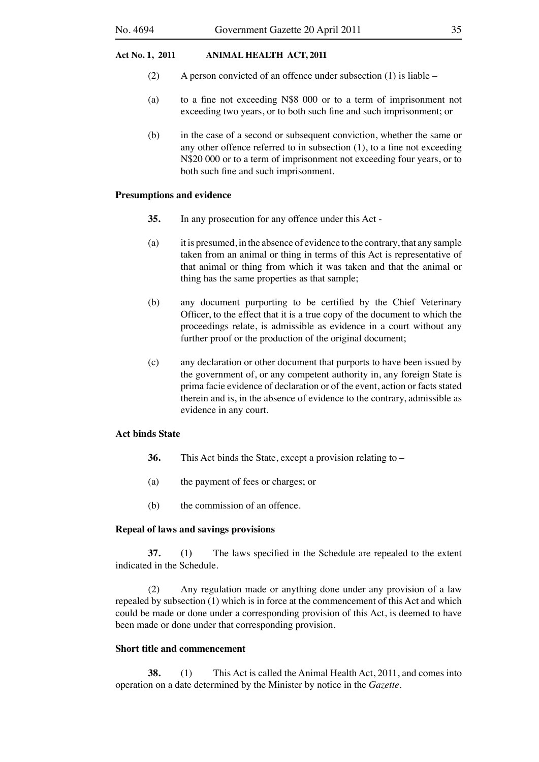- (2) A person convicted of an offence under subsection  $(1)$  is liable –
- (a) to a fine not exceeding N\$8 000 or to a term of imprisonment not exceeding two years, or to both such fine and such imprisonment; or
- (b) in the case of a second or subsequent conviction, whether the same or any other offence referred to in subsection (1), to a fine not exceeding N\$20 000 or to a term of imprisonment not exceeding four years, or to both such fine and such imprisonment.

## **Presumptions and evidence**

- **35.** In any prosecution for any offence under this Act -
- (a) it is presumed, in the absence of evidence to the contrary, that any sample taken from an animal or thing in terms of this Act is representative of that animal or thing from which it was taken and that the animal or thing has the same properties as that sample;
- (b) any document purporting to be certified by the Chief Veterinary Officer, to the effect that it is a true copy of the document to which the proceedings relate, is admissible as evidence in a court without any further proof or the production of the original document;
- (c) any declaration or other document that purports to have been issued by the government of, or any competent authority in, any foreign State is prima facie evidence of declaration or of the event, action or facts stated therein and is, in the absence of evidence to the contrary, admissible as evidence in any court.

## **Act binds State**

- **36.** This Act binds the State, except a provision relating to –
- (a) the payment of fees or charges; or
- (b) the commission of an offence.

## **Repeal of laws and savings provisions**

**37. (**1**)** The laws specified in the Schedule are repealed to the extent indicated in the Schedule.

 (2) Any regulation made or anything done under any provision of a law repealed by subsection (1) which is in force at the commencement of this Act and which could be made or done under a corresponding provision of this Act, is deemed to have been made or done under that corresponding provision.

## **Short title and commencement**

**38.** (1) This Act is called the Animal Health Act, 2011, and comes into operation on a date determined by the Minister by notice in the *Gazette.*